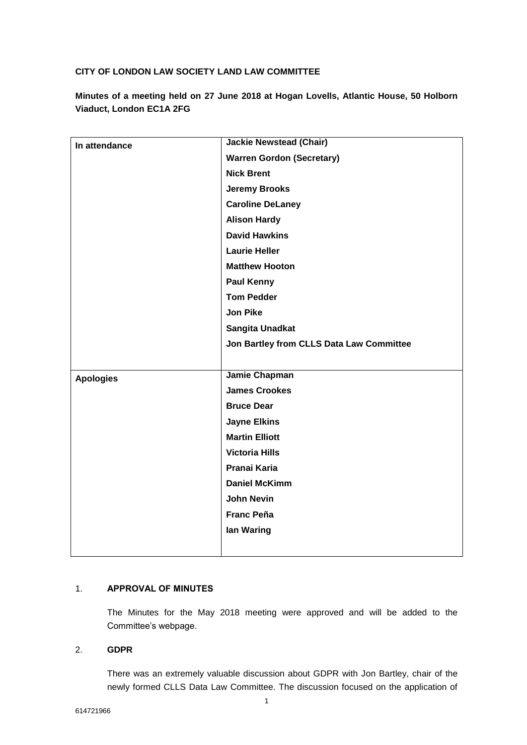# **CITY OF LONDON LAW SOCIETY LAND LAW COMMITTEE**

**Minutes of a meeting held on 27 June 2018 at Hogan Lovells, Atlantic House, 50 Holborn Viaduct, London EC1A 2FG**

| In attendance    | <b>Jackie Newstead (Chair)</b>           |
|------------------|------------------------------------------|
|                  | <b>Warren Gordon (Secretary)</b>         |
|                  | <b>Nick Brent</b>                        |
|                  | <b>Jeremy Brooks</b>                     |
|                  | <b>Caroline DeLaney</b>                  |
|                  | <b>Alison Hardy</b>                      |
|                  | <b>David Hawkins</b>                     |
|                  | <b>Laurie Heller</b>                     |
|                  | <b>Matthew Hooton</b>                    |
|                  | <b>Paul Kenny</b>                        |
|                  | <b>Tom Pedder</b>                        |
|                  | <b>Jon Pike</b>                          |
|                  | Sangita Unadkat                          |
|                  | Jon Bartley from CLLS Data Law Committee |
|                  |                                          |
| <b>Apologies</b> | Jamie Chapman                            |
|                  | <b>James Crookes</b>                     |
|                  | <b>Bruce Dear</b>                        |
|                  | <b>Jayne Elkins</b>                      |
|                  | <b>Martin Elliott</b>                    |
|                  | <b>Victoria Hills</b>                    |
|                  | Pranai Karia                             |
|                  | <b>Daniel McKimm</b>                     |
|                  | <b>John Nevin</b>                        |
|                  | <b>Franc Peña</b>                        |
|                  |                                          |
|                  | lan Waring                               |

## 1. **APPROVAL OF MINUTES**

The Minutes for the May 2018 meeting were approved and will be added to the Committee's webpage.

# 2. **GDPR**

There was an extremely valuable discussion about GDPR with Jon Bartley, chair of the newly formed CLLS Data Law Committee. The discussion focused on the application of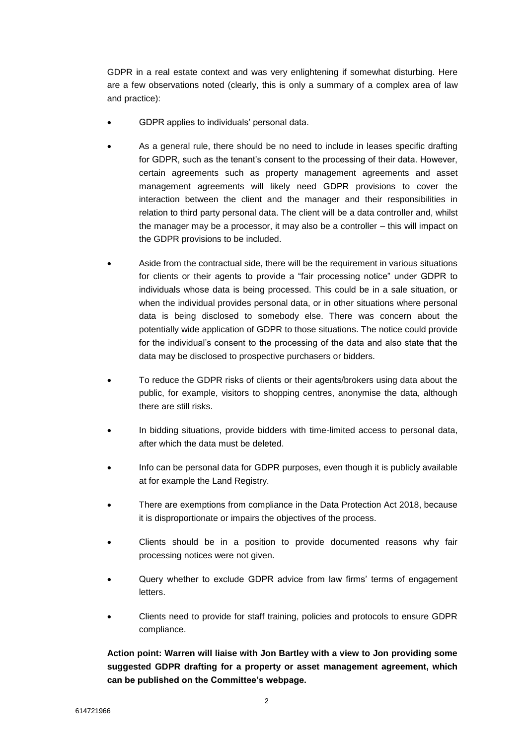GDPR in a real estate context and was very enlightening if somewhat disturbing. Here are a few observations noted (clearly, this is only a summary of a complex area of law and practice):

- GDPR applies to individuals' personal data.
- As a general rule, there should be no need to include in leases specific drafting for GDPR, such as the tenant's consent to the processing of their data. However, certain agreements such as property management agreements and asset management agreements will likely need GDPR provisions to cover the interaction between the client and the manager and their responsibilities in relation to third party personal data. The client will be a data controller and, whilst the manager may be a processor, it may also be a controller – this will impact on the GDPR provisions to be included.
- Aside from the contractual side, there will be the requirement in various situations for clients or their agents to provide a "fair processing notice" under GDPR to individuals whose data is being processed. This could be in a sale situation, or when the individual provides personal data, or in other situations where personal data is being disclosed to somebody else. There was concern about the potentially wide application of GDPR to those situations. The notice could provide for the individual's consent to the processing of the data and also state that the data may be disclosed to prospective purchasers or bidders.
- To reduce the GDPR risks of clients or their agents/brokers using data about the public, for example, visitors to shopping centres, anonymise the data, although there are still risks.
- In bidding situations, provide bidders with time-limited access to personal data, after which the data must be deleted.
- Info can be personal data for GDPR purposes, even though it is publicly available at for example the Land Registry.
- There are exemptions from compliance in the Data Protection Act 2018, because it is disproportionate or impairs the objectives of the process.
- Clients should be in a position to provide documented reasons why fair processing notices were not given.
- Query whether to exclude GDPR advice from law firms' terms of engagement letters.
- Clients need to provide for staff training, policies and protocols to ensure GDPR compliance.

**Action point: Warren will liaise with Jon Bartley with a view to Jon providing some suggested GDPR drafting for a property or asset management agreement, which can be published on the Committee's webpage.**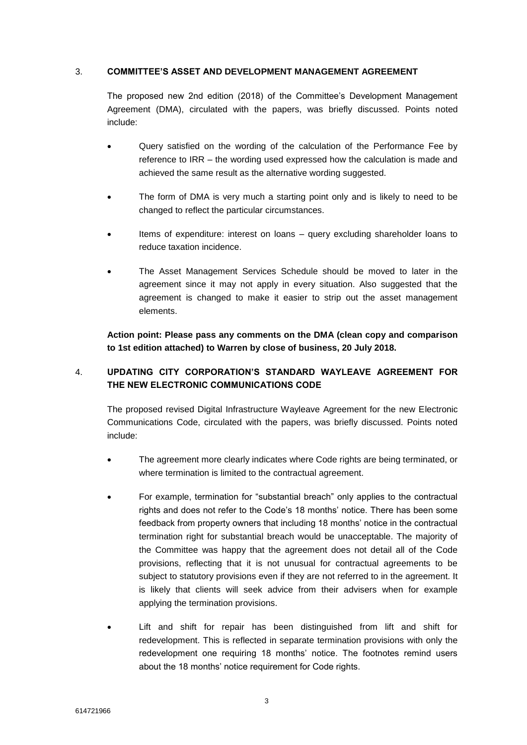## 3. **COMMITTEE'S ASSET AND DEVELOPMENT MANAGEMENT AGREEMENT**

The proposed new 2nd edition (2018) of the Committee's Development Management Agreement (DMA), circulated with the papers, was briefly discussed. Points noted include:

- Query satisfied on the wording of the calculation of the Performance Fee by reference to IRR – the wording used expressed how the calculation is made and achieved the same result as the alternative wording suggested.
- The form of DMA is very much a starting point only and is likely to need to be changed to reflect the particular circumstances.
- Items of expenditure: interest on loans query excluding shareholder loans to reduce taxation incidence.
- The Asset Management Services Schedule should be moved to later in the agreement since it may not apply in every situation. Also suggested that the agreement is changed to make it easier to strip out the asset management elements.

**Action point: Please pass any comments on the DMA (clean copy and comparison to 1st edition attached) to Warren by close of business, 20 July 2018.**

# 4. **UPDATING CITY CORPORATION'S STANDARD WAYLEAVE AGREEMENT FOR THE NEW ELECTRONIC COMMUNICATIONS CODE**

The proposed revised Digital Infrastructure Wayleave Agreement for the new Electronic Communications Code, circulated with the papers, was briefly discussed. Points noted include:

- The agreement more clearly indicates where Code rights are being terminated, or where termination is limited to the contractual agreement.
- For example, termination for "substantial breach" only applies to the contractual rights and does not refer to the Code's 18 months' notice. There has been some feedback from property owners that including 18 months' notice in the contractual termination right for substantial breach would be unacceptable. The majority of the Committee was happy that the agreement does not detail all of the Code provisions, reflecting that it is not unusual for contractual agreements to be subject to statutory provisions even if they are not referred to in the agreement. It is likely that clients will seek advice from their advisers when for example applying the termination provisions.
- Lift and shift for repair has been distinguished from lift and shift for redevelopment. This is reflected in separate termination provisions with only the redevelopment one requiring 18 months' notice. The footnotes remind users about the 18 months' notice requirement for Code rights.